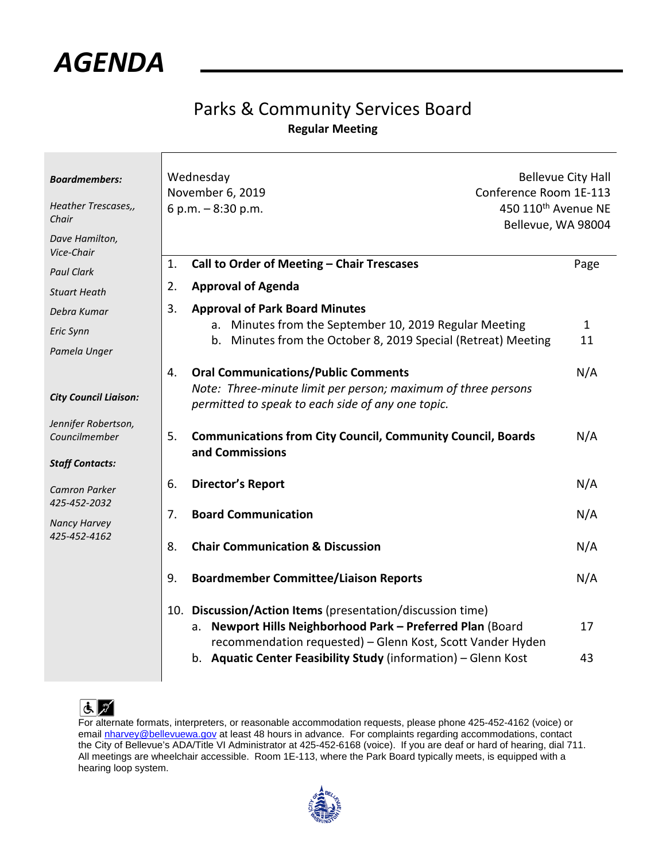*AGENDA* 

## Parks & Community Services Board **Regular Meeting**

| <b>Boardmembers:</b><br>Heather Trescases,,<br>Chair<br>Dave Hamilton, | Wednesday<br>November 6, 2019<br>6 p.m. - 8:30 p.m.                                                                                                                                                                                                         | <b>Bellevue City Hall</b><br>Conference Room 1E-113<br>450 110 <sup>th</sup> Avenue NE<br>Bellevue, WA 98004 |  |
|------------------------------------------------------------------------|-------------------------------------------------------------------------------------------------------------------------------------------------------------------------------------------------------------------------------------------------------------|--------------------------------------------------------------------------------------------------------------|--|
| Vice-Chair<br><b>Paul Clark</b>                                        | Call to Order of Meeting - Chair Trescases<br>1.                                                                                                                                                                                                            | Page                                                                                                         |  |
| <b>Stuart Heath</b>                                                    | <b>Approval of Agenda</b><br>2.                                                                                                                                                                                                                             |                                                                                                              |  |
| Debra Kumar                                                            | 3.<br><b>Approval of Park Board Minutes</b>                                                                                                                                                                                                                 |                                                                                                              |  |
| Eric Synn                                                              | Minutes from the September 10, 2019 Regular Meeting<br>a.                                                                                                                                                                                                   | $\mathbf{1}$                                                                                                 |  |
|                                                                        | Minutes from the October 8, 2019 Special (Retreat) Meeting<br>b.                                                                                                                                                                                            | 11                                                                                                           |  |
| Pamela Unger                                                           |                                                                                                                                                                                                                                                             |                                                                                                              |  |
| <b>City Council Liaison:</b>                                           | <b>Oral Communications/Public Comments</b><br>4.<br>Note: Three-minute limit per person; maximum of three persons<br>permitted to speak to each side of any one topic.                                                                                      | N/A                                                                                                          |  |
| Jennifer Robertson,<br>Councilmember                                   | <b>Communications from City Council, Community Council, Boards</b><br>5.<br>and Commissions                                                                                                                                                                 | N/A                                                                                                          |  |
| <b>Staff Contacts:</b>                                                 |                                                                                                                                                                                                                                                             |                                                                                                              |  |
| Camron Parker<br>425-452-2032                                          | <b>Director's Report</b><br>6.                                                                                                                                                                                                                              | N/A                                                                                                          |  |
| <b>Nancy Harvey</b><br>425-452-4162                                    | <b>Board Communication</b><br>7.                                                                                                                                                                                                                            | N/A                                                                                                          |  |
|                                                                        | <b>Chair Communication &amp; Discussion</b><br>8.                                                                                                                                                                                                           | N/A                                                                                                          |  |
|                                                                        | 9.<br><b>Boardmember Committee/Liaison Reports</b>                                                                                                                                                                                                          | N/A                                                                                                          |  |
|                                                                        | 10. Discussion/Action Items (presentation/discussion time)<br>Newport Hills Neighborhood Park - Preferred Plan (Board<br>a.<br>recommendation requested) - Glenn Kost, Scott Vander Hyden<br>b. Aquatic Center Feasibility Study (information) - Glenn Kost | 17<br>43                                                                                                     |  |



For alternate formats, interpreters, or reasonable accommodation requests, please phone 425-452-4162 (voice) or email [nharvey@bellevuewa.gov](mailto:nharvey@bellevuewa.gov)</u> at least 48 hours in advance. For complaints regarding accommodations, contact the City of Bellevue's ADA/Title VI Administrator at 425-452-6168 (voice). If you are deaf or hard of hearing, dial 711. All meetings are wheelchair accessible. Room 1E-113, where the Park Board typically meets, is equipped with a hearing loop system.